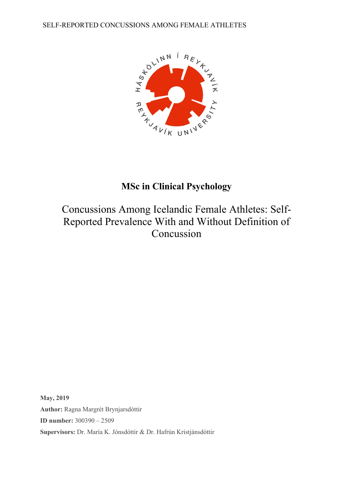SELF-REPORTED CONCUSSIONS AMONG FEMALE ATHLETES



## **MSc in Clinical Psychology**

# Concussions Among Icelandic Female Athletes: Self-Reported Prevalence With and Without Definition of Concussion

**May, 2019 Author:** Ragna Margrét Brynjarsdóttir **ID number:** 300390 – 2509 **Supervisors:** Dr. María K. Jónsdóttir & Dr. Hafrún Kristjánsdóttir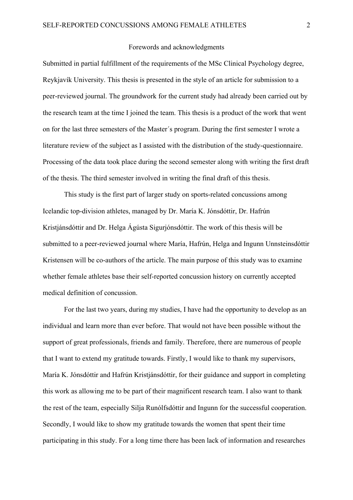#### Forewords and acknowledgments

Submitted in partial fulfillment of the requirements of the MSc Clinical Psychology degree, Reykjavík University. This thesis is presented in the style of an article for submission to a peer-reviewed journal. The groundwork for the current study had already been carried out by the research team at the time I joined the team. This thesis is a product of the work that went on for the last three semesters of the Master´s program. During the first semester I wrote a literature review of the subject as I assisted with the distribution of the study-questionnaire. Processing of the data took place during the second semester along with writing the first draft of the thesis. The third semester involved in writing the final draft of this thesis.

This study is the first part of larger study on sports-related concussions among Icelandic top-division athletes, managed by Dr. María K. Jónsdóttir, Dr. Hafrún Kristjánsdóttir and Dr. Helga Ágústa Sigurjónsdóttir. The work of this thesis will be submitted to a peer-reviewed journal where María, Hafrún, Helga and Ingunn Unnsteinsdóttir Kristensen will be co-authors of the article. The main purpose of this study was to examine whether female athletes base their self-reported concussion history on currently accepted medical definition of concussion.

 For the last two years, during my studies, I have had the opportunity to develop as an individual and learn more than ever before. That would not have been possible without the support of great professionals, friends and family. Therefore, there are numerous of people that I want to extend my gratitude towards. Firstly, I would like to thank my supervisors, María K. Jónsdóttir and Hafrún Kristjánsdóttir, for their guidance and support in completing this work as allowing me to be part of their magnificent research team. I also want to thank the rest of the team, especially Silja Runólfsdóttir and Ingunn for the successful cooperation. Secondly, I would like to show my gratitude towards the women that spent their time participating in this study. For a long time there has been lack of information and researches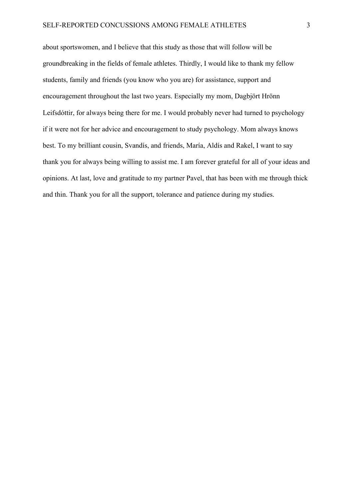about sportswomen, and I believe that this study as those that will follow will be groundbreaking in the fields of female athletes. Thirdly, I would like to thank my fellow students, family and friends (you know who you are) for assistance, support and encouragement throughout the last two years. Especially my mom, Dagbjört Hrönn Leifsdóttir, for always being there for me. I would probably never had turned to psychology if it were not for her advice and encouragement to study psychology. Mom always knows best. To my brilliant cousin, Svandís, and friends, María, Aldís and Rakel, I want to say thank you for always being willing to assist me. I am forever grateful for all of your ideas and opinions. At last, love and gratitude to my partner Pavel, that has been with me through thick and thin. Thank you for all the support, tolerance and patience during my studies.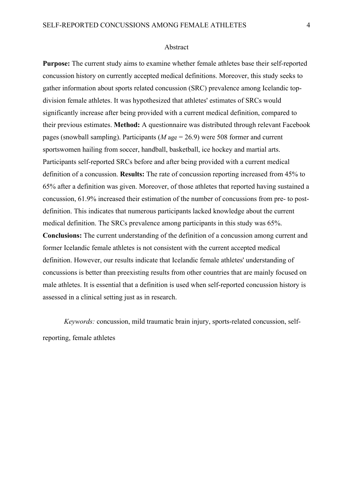#### Abstract

**Purpose:** The current study aims to examine whether female athletes base their self-reported concussion history on currently accepted medical definitions. Moreover, this study seeks to gather information about sports related concussion (SRC) prevalence among Icelandic topdivision female athletes. It was hypothesized that athletes' estimates of SRCs would significantly increase after being provided with a current medical definition, compared to their previous estimates. **Method:** A questionnaire was distributed through relevant Facebook pages (snowball sampling). Participants (*M* age = 26.9) were 508 former and current sportswomen hailing from soccer, handball, basketball, ice hockey and martial arts. Participants self-reported SRCs before and after being provided with a current medical definition of a concussion. **Results:** The rate of concussion reporting increased from 45% to 65% after a definition was given. Moreover, of those athletes that reported having sustained a concussion, 61.9% increased their estimation of the number of concussions from pre- to postdefinition. This indicates that numerous participants lacked knowledge about the current medical definition. The SRCs prevalence among participants in this study was 65%. **Conclusions:** The current understanding of the definition of a concussion among current and former Icelandic female athletes is not consistent with the current accepted medical definition. However, our results indicate that Icelandic female athletes' understanding of concussions is better than preexisting results from other countries that are mainly focused on male athletes. It is essential that a definition is used when self-reported concussion history is assessed in a clinical setting just as in research.

*Keywords:* concussion, mild traumatic brain injury, sports-related concussion, selfreporting, female athletes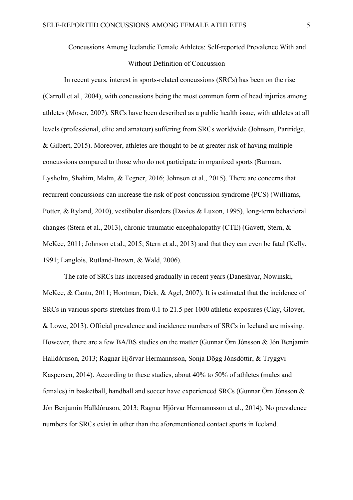## Concussions Among Icelandic Female Athletes: Self-reported Prevalence With and Without Definition of Concussion

In recent years, interest in sports-related concussions (SRCs) has been on the rise (Carroll et al., 2004), with concussions being the most common form of head injuries among athletes (Moser, 2007). SRCs have been described as a public health issue, with athletes at all levels (professional, elite and amateur) suffering from SRCs worldwide (Johnson, Partridge, & Gilbert, 2015). Moreover, athletes are thought to be at greater risk of having multiple concussions compared to those who do not participate in organized sports (Burman, Lysholm, Shahim, Malm, & Tegner, 2016; Johnson et al., 2015). There are concerns that recurrent concussions can increase the risk of post-concussion syndrome (PCS) (Williams, Potter, & Ryland, 2010), vestibular disorders (Davies & Luxon, 1995), long-term behavioral changes (Stern et al., 2013), chronic traumatic encephalopathy (CTE) (Gavett, Stern, & McKee, 2011; Johnson et al., 2015; Stern et al., 2013) and that they can even be fatal (Kelly, 1991; Langlois, Rutland-Brown, & Wald, 2006).

The rate of SRCs has increased gradually in recent years (Daneshvar, Nowinski, McKee, & Cantu, 2011; Hootman, Dick, & Agel, 2007). It is estimated that the incidence of SRCs in various sports stretches from 0.1 to 21.5 per 1000 athletic exposures (Clay, Glover, & Lowe, 2013). Official prevalence and incidence numbers of SRCs in Iceland are missing. However, there are a few BA/BS studies on the matter (Gunnar Örn Jónsson & Jón Benjamín Halldóruson, 2013; Ragnar Hjörvar Hermannsson, Sonja Dögg Jónsdóttir, & Tryggvi Kaspersen, 2014). According to these studies, about 40% to 50% of athletes (males and females) in basketball, handball and soccer have experienced SRCs (Gunnar Örn Jónsson & Jón Benjamín Halldóruson, 2013; Ragnar Hjörvar Hermannsson et al., 2014). No prevalence numbers for SRCs exist in other than the aforementioned contact sports in Iceland.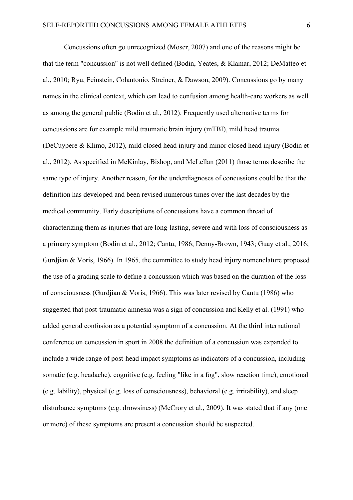Concussions often go unrecognized (Moser, 2007) and one of the reasons might be that the term "concussion" is not well defined (Bodin, Yeates, & Klamar, 2012; DeMatteo et al., 2010; Ryu, Feinstein, Colantonio, Streiner, & Dawson, 2009). Concussions go by many names in the clinical context, which can lead to confusion among health-care workers as well as among the general public (Bodin et al., 2012). Frequently used alternative terms for concussions are for example mild traumatic brain injury (mTBI), mild head trauma (DeCuypere & Klimo, 2012), mild closed head injury and minor closed head injury (Bodin et al., 2012). As specified in McKinlay, Bishop, and McLellan (2011) those terms describe the same type of injury. Another reason, for the underdiagnoses of concussions could be that the definition has developed and been revised numerous times over the last decades by the medical community. Early descriptions of concussions have a common thread of characterizing them as injuries that are long-lasting, severe and with loss of consciousness as a primary symptom (Bodin et al., 2012; Cantu, 1986; Denny-Brown, 1943; Guay et al., 2016; Gurdjian & Voris, 1966). In 1965, the committee to study head injury nomenclature proposed the use of a grading scale to define a concussion which was based on the duration of the loss of consciousness (Gurdjian & Voris, 1966). This was later revised by Cantu (1986) who suggested that post-traumatic amnesia was a sign of concussion and Kelly et al. (1991) who added general confusion as a potential symptom of a concussion. At the third international conference on concussion in sport in 2008 the definition of a concussion was expanded to include a wide range of post-head impact symptoms as indicators of a concussion, including somatic (e.g. headache), cognitive (e.g. feeling "like in a fog", slow reaction time), emotional (e.g. lability), physical (e.g. loss of consciousness), behavioral (e.g. irritability), and sleep disturbance symptoms (e.g. drowsiness) (McCrory et al., 2009). It was stated that if any (one or more) of these symptoms are present a concussion should be suspected.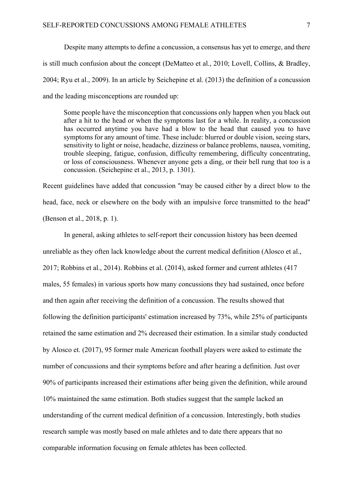Despite many attempts to define a concussion, a consensus has yet to emerge, and there is still much confusion about the concept (DeMatteo et al., 2010; Lovell, Collins, & Bradley, 2004; Ryu et al., 2009). In an article by Seichepine et al. (2013) the definition of a concussion and the leading misconceptions are rounded up:

Some people have the misconception that concussions only happen when you black out after a hit to the head or when the symptoms last for a while. In reality, a concussion has occurred anytime you have had a blow to the head that caused you to have symptoms for any amount of time. These include: blurred or double vision, seeing stars, sensitivity to light or noise, headache, dizziness or balance problems, nausea, vomiting, trouble sleeping, fatigue, confusion, difficulty remembering, difficulty concentrating, or loss of consciousness. Whenever anyone gets a ding, or their bell rung that too is a concussion. (Seichepine et al., 2013, p. 1301).

Recent guidelines have added that concussion "may be caused either by a direct blow to the head, face, neck or elsewhere on the body with an impulsive force transmitted to the head" (Benson et al., 2018, p. 1).

In general, asking athletes to self-report their concussion history has been deemed unreliable as they often lack knowledge about the current medical definition (Alosco et al., 2017; Robbins et al., 2014). Robbins et al. (2014), asked former and current athletes (417 males, 55 females) in various sports how many concussions they had sustained, once before and then again after receiving the definition of a concussion. The results showed that following the definition participants' estimation increased by 73%, while 25% of participants retained the same estimation and 2% decreased their estimation. In a similar study conducted by Alosco et. (2017), 95 former male American football players were asked to estimate the number of concussions and their symptoms before and after hearing a definition. Just over 90% of participants increased their estimations after being given the definition, while around 10% maintained the same estimation. Both studies suggest that the sample lacked an understanding of the current medical definition of a concussion. Interestingly, both studies research sample was mostly based on male athletes and to date there appears that no comparable information focusing on female athletes has been collected.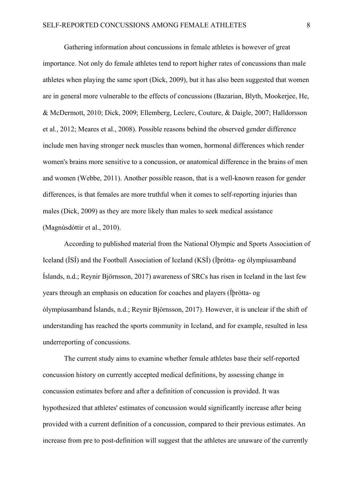Gathering information about concussions in female athletes is however of great importance. Not only do female athletes tend to report higher rates of concussions than male athletes when playing the same sport (Dick, 2009), but it has also been suggested that women are in general more vulnerable to the effects of concussions (Bazarian, Blyth, Mookerjee, He, & McDermott, 2010; Dick, 2009; Ellemberg, Leclerc, Couture, & Daigle, 2007; Halldorsson et al., 2012; Meares et al., 2008). Possible reasons behind the observed gender difference include men having stronger neck muscles than women, hormonal differences which render women's brains more sensitive to a concussion, or anatomical difference in the brains of men and women (Webbe, 2011). Another possible reason, that is a well-known reason for gender differences, is that females are more truthful when it comes to self-reporting injuries than males (Dick, 2009) as they are more likely than males to seek medical assistance (Magnúsdóttir et al., 2010).

According to published material from the National Olympic and Sports Association of Iceland (ÍSÍ) and the Football Association of Iceland (KSÍ) (Íþrótta- og ólympíusamband Íslands, n.d.; Reynir Björnsson, 2017) awareness of SRCs has risen in Iceland in the last few years through an emphasis on education for coaches and players (Íþrótta- og ólympíusamband Íslands, n.d.; Reynir Björnsson, 2017). However, it is unclear if the shift of understanding has reached the sports community in Iceland, and for example, resulted in less underreporting of concussions.

The current study aims to examine whether female athletes base their self-reported concussion history on currently accepted medical definitions, by assessing change in concussion estimates before and after a definition of concussion is provided. It was hypothesized that athletes' estimates of concussion would significantly increase after being provided with a current definition of a concussion, compared to their previous estimates. An increase from pre to post-definition will suggest that the athletes are unaware of the currently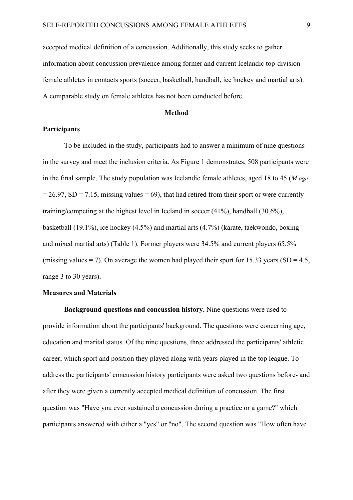accepted medical definition of a concussion. Additionally, this study seeks to gather information about concussion prevalence among former and current Icelandic top-division female athletes in contacts sports (soccer, basketball, handball, ice hockey and martial arts). A comparable study on female athletes has not been conducted before.

#### **Method**

#### **Participants**

To be included in the study, participants had to answer a minimum of nine questions in the survey and meet the inclusion criteria. As Figure 1 demonstrates, 508 participants were in the final sample. The study population was Icelandic female athletes, aged 18 to 45 (*M age*  $= 26.97$ , SD = 7.15, missing values = 69), that had retired from their sport or were currently training/competing at the highest level in Iceland in soccer (41%), handball (30.6%), basketball (19.1%), ice hockey (4.5%) and martial arts (4.7%) (karate, taekwondo, boxing and mixed martial arts) (Table 1). Former players were 34.5% and current players 65.5% (missing values = 7). On average the women had played their sport for 15.33 years (SD = 4.5, range 3 to 30 years).

#### **Measures and Materials**

**Background questions and concussion history.** Nine questions were used to provide information about the participants' background. The questions were concerning age, education and marital status. Of the nine questions, three addressed the participants' athletic career; which sport and position they played along with years played in the top league. To address the participants' concussion history participants were asked two questions before- and after they were given a currently accepted medical definition of concussion. The first question was "Have you ever sustained a concussion during a practice or a game?" which participants answered with either a "yes" or "no". The second question was "How often have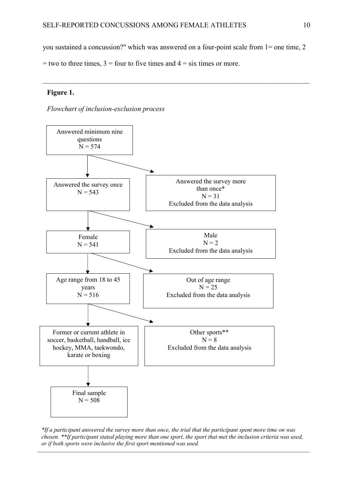you sustained a concussion?" which was answered on a four-point scale from 1= one time, 2

 $=$  two to three times,  $3 =$  four to five times and  $4 =$  six times or more.

#### **Figure 1.**





*\*If a participant answered the survey more than once, the trial that the participant spent more time on was chosen. \*\*If participant stated playing more than one sport, the sport that met the inclusion criteria was used, or if both sports were inclusive the first sport mentioned was used.*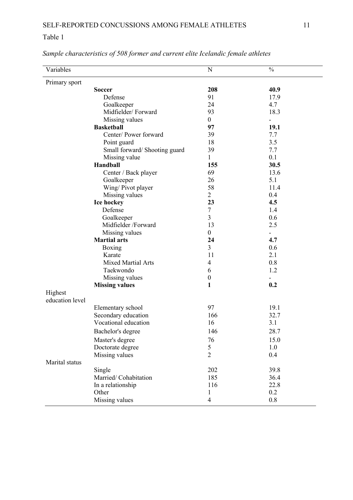### Table 1

| Variables                  |                               | N                        | $\frac{0}{0}$ |
|----------------------------|-------------------------------|--------------------------|---------------|
| Primary sport              |                               |                          |               |
|                            | <b>Soccer</b>                 | 208                      | 40.9          |
|                            | Defense                       | 91                       | 17.9          |
|                            | Goalkeeper                    | 24                       | 4.7           |
|                            | Midfielder/Forward            | 93                       | 18.3          |
|                            | Missing values                | $\overline{0}$           | ÷.            |
|                            | <b>Basketball</b>             | 97                       | 19.1          |
|                            | Center/Power forward          | 39                       | 7.7           |
|                            | Point guard                   | 18                       | 3.5           |
|                            | Small forward/ Shooting guard | 39                       | 7.7           |
|                            | Missing value                 | 1                        | 0.1           |
|                            | Handball                      | 155                      | 30.5          |
|                            | Center / Back player          | 69                       | 13.6          |
|                            | Goalkeeper                    | 26                       | 5.1           |
|                            | Wing/ Pivot player            | 58                       | 11.4          |
|                            | Missing values                | $\overline{2}$           | 0.4           |
|                            | Ice hockey                    | 23                       | 4.5           |
|                            | Defense                       | 7                        | 1.4           |
|                            | Goalkeeper                    | 3                        | 0.6           |
|                            | Midfielder /Forward           | 13                       | 2.5           |
|                            | Missing values                | $\mathbf{0}$             |               |
|                            | <b>Martial arts</b>           | 24                       | 4.7           |
|                            | Boxing                        | 3                        | 0.6           |
|                            | Karate                        | 11                       | 2.1           |
|                            | <b>Mixed Martial Arts</b>     | $\overline{\mathcal{A}}$ | 0.8           |
|                            | Taekwondo                     | 6                        | 1.2           |
|                            | Missing values                | $\boldsymbol{0}$         |               |
|                            | <b>Missing values</b>         | 1                        | 0.2           |
| Highest<br>education level |                               |                          |               |
|                            | Elementary school             | 97                       | 19.1          |
|                            | Secondary education           | 166                      | 32.7          |
|                            | Vocational education          | 16                       | 3.1           |
|                            | Bachelor's degree             | 146                      | 28.7          |
|                            | Master's degree               | 76                       | 15.0          |
|                            | Doctorate degree              | 5                        | 1.0           |
|                            | Missing values                | $\overline{2}$           | 0.4           |
| Marital status             |                               |                          |               |
|                            | Single                        | 202                      | 39.8          |
|                            | Married/Cohabitation          | 185                      | 36.4          |
|                            | In a relationship             | 116                      | 22.8          |
|                            | Other                         | $\mathbf{1}$             | 0.2           |
|                            | Missing values                | $\overline{4}$           | 0.8           |
|                            |                               |                          |               |

*Sample characteristics of 508 former and current elite Icelandic female athletes*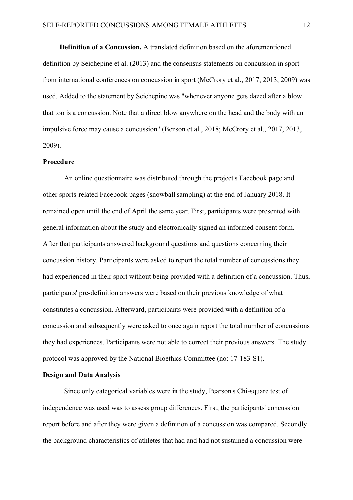**Definition of a Concussion.** A translated definition based on the aforementioned definition by Seichepine et al. (2013) and the consensus statements on concussion in sport from international conferences on concussion in sport (McCrory et al., 2017, 2013, 2009) was used. Added to the statement by Seichepine was "whenever anyone gets dazed after a blow that too is a concussion. Note that a direct blow anywhere on the head and the body with an impulsive force may cause a concussion" (Benson et al., 2018; McCrory et al., 2017, 2013, 2009).

#### **Procedure**

An online questionnaire was distributed through the project's Facebook page and other sports-related Facebook pages (snowball sampling) at the end of January 2018. It remained open until the end of April the same year. First, participants were presented with general information about the study and electronically signed an informed consent form. After that participants answered background questions and questions concerning their concussion history. Participants were asked to report the total number of concussions they had experienced in their sport without being provided with a definition of a concussion. Thus, participants' pre-definition answers were based on their previous knowledge of what constitutes a concussion. Afterward, participants were provided with a definition of a concussion and subsequently were asked to once again report the total number of concussions they had experiences. Participants were not able to correct their previous answers. The study protocol was approved by the National Bioethics Committee (no: 17-183-S1).

#### **Design and Data Analysis**

Since only categorical variables were in the study, Pearson's Chi-square test of independence was used was to assess group differences. First, the participants' concussion report before and after they were given a definition of a concussion was compared. Secondly the background characteristics of athletes that had and had not sustained a concussion were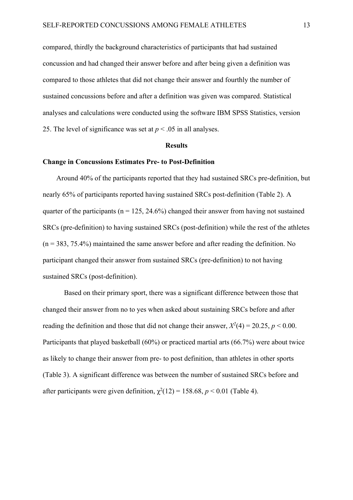compared, thirdly the background characteristics of participants that had sustained concussion and had changed their answer before and after being given a definition was compared to those athletes that did not change their answer and fourthly the number of sustained concussions before and after a definition was given was compared. Statistical analyses and calculations were conducted using the software IBM SPSS Statistics, version 25. The level of significance was set at  $p < .05$  in all analyses.

#### **Results**

#### **Change in Concussions Estimates Pre- to Post-Definition**

Around 40% of the participants reported that they had sustained SRCs pre-definition, but nearly 65% of participants reported having sustained SRCs post-definition (Table 2). A quarter of the participants ( $n = 125$ , 24.6%) changed their answer from having not sustained SRCs (pre-definition) to having sustained SRCs (post-definition) while the rest of the athletes  $(n = 383, 75.4\%)$  maintained the same answer before and after reading the definition. No participant changed their answer from sustained SRCs (pre-definition) to not having sustained SRCs (post-definition).

Based on their primary sport, there was a significant difference between those that changed their answer from no to yes when asked about sustaining SRCs before and after reading the definition and those that did not change their answer,  $X^2(4) = 20.25$ ,  $p < 0.00$ . Participants that played basketball (60%) or practiced martial arts (66.7%) were about twice as likely to change their answer from pre- to post definition, than athletes in other sports (Table 3). A significant difference was between the number of sustained SRCs before and after participants were given definition,  $\chi^2(12) = 158.68$ ,  $p < 0.01$  (Table 4).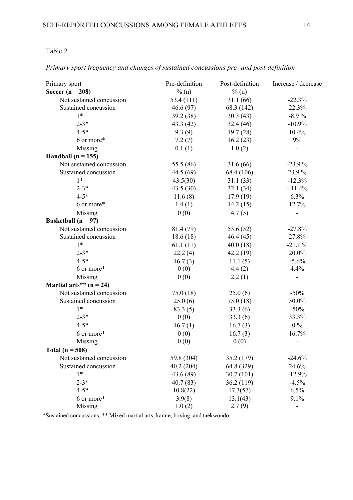### Table 2

| Primary sport             | Pre-definition | Post-definition | Increase / decrease      |
|---------------------------|----------------|-----------------|--------------------------|
| Soccer ( $n = 208$ )      | $\%$ (n)       | $\%$ (n)        |                          |
| Not sustained concussion  | 53.4 (111)     | 31.1(66)        | $-22.3%$                 |
| Sustained concussion      | 46.6(97)       | 68.3 (142)      | 22.3%                    |
| $1*$                      | 39.2 (38)      | 30.3(43)        | $-8.9%$                  |
| $2 - 3*$                  | 43.3 (42)      | 32.4(46)        | $-10.9%$                 |
| $4 - 5*$                  | 9.3(9)         | 19.7(28)        | 10.4%                    |
| 6 or more*                | 7.2(7)         | 16.2(23)        | 9%                       |
| Missing                   | 0.1(1)         | 1.0(2)          |                          |
| Handball ( $n = 155$ )    |                |                 |                          |
| Not sustained concussion  | 55.5 (86)      | 31.6(66)        | $-23.9%$                 |
| Sustained concussion      | 44.5 (69)      | 68.4 (106)      | 23.9%                    |
| $1*$                      | 43.5(30)       | 31.1(33)        | $-12.3%$                 |
| $2 - 3*$                  | 43.5(30)       | 32.1(34)        | $-11.4%$                 |
| $4 - 5*$                  | 11.6(8)        | 17.9(19)        | 6.3%                     |
| 6 or more*                | 1.4(1)         | 14.2(15)        | 12.7%                    |
| Missing                   | 0(0)           | 4.7(5)          |                          |
| Basketball ( $n = 97$ )   |                |                 |                          |
| Not sustained concussion  | 81.4 (79)      | 53.6 $(52)$     | $-27.8%$                 |
| Sustained concussion      | 18.6(18)       | 46.4(45)        | 27.8%                    |
| $1*$                      | 61.1(11)       | 40.0(18)        | $-21.1%$                 |
| $2 - 3*$                  | 22.2(4)        | 42.2(19)        | 20.0%                    |
| $4 - 5*$                  | 16.7(3)        | 11.1(5)         | $-5.6%$                  |
| 6 or more*                | 0(0)           | 4.4(2)          | 4.4%                     |
| Missing                   | 0(0)           | 2.2(1)          | $\overline{\phantom{a}}$ |
| Martial arts** $(n = 24)$ |                |                 |                          |
| Not sustained concussion  | 75.0(18)       | 25.0(6)         | $-50%$                   |
| Sustained concussion      | 25.0(6)        | 75.0(18)        | 50.0%                    |
| $1*$                      | 83.3(5)        | 33.3(6)         | $-50%$                   |
| $2 - 3*$                  | 0(0)           | 33.3(6)         | 33.3%                    |
| $4 - 5*$                  | 16.7(1)        | 16.7(3)         | $0\%$                    |
| 6 or more*                | 0(0)           | 16.7(3)         | 16.7%                    |
| Missing                   | 0(0)           | 0(0)            | $\overline{\phantom{a}}$ |
| Total ( $n = 508$ )       |                |                 |                          |
| Not sustained concussion  | 59.8 (304)     | 35.2 (179)      | $-24.6%$                 |
| Sustained concussion      | 40.2(204)      | 64.8 (329)      | 24.6%                    |
| $1*$                      | 43.6 (89)      | 30.7(101)       | $-12.9%$                 |
| $2 - 3*$                  | 40.7(83)       | 36.2 (119)      | $-4.5%$                  |
| $4 - 5*$                  | 10.8(22)       | 17.3(57)        | 6.5%                     |
| 6 or more*                | 3.9(8)         | 13.1(43)        | 9.1%                     |
| Missing                   | 1.0(2)         | 2.7(9)          |                          |

*Primary sport frequency and changes of sustained concussions pre- and post-definition*

\*Sustained concussions, \*\* Mixed martial arts, karate, boxing, and taekwondo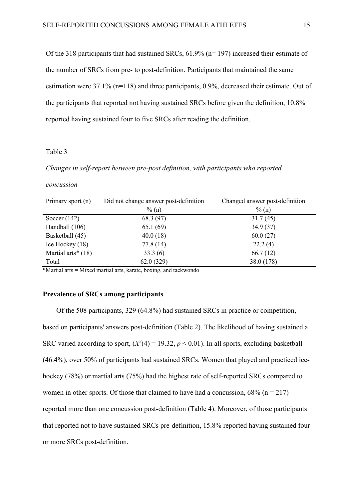Of the 318 participants that had sustained SRCs, 61.9% (n= 197) increased their estimate of the number of SRCs from pre- to post-definition. Participants that maintained the same estimation were 37.1% (n=118) and three participants, 0.9%, decreased their estimate. Out of the participants that reported not having sustained SRCs before given the definition, 10.8% reported having sustained four to five SRCs after reading the definition.

#### Table 3

*Changes in self-report between pre-post definition, with participants who reported* 

#### *concussion*

| Primary sport (n)    | Did not change answer post-definition | Changed answer post-definition |  |
|----------------------|---------------------------------------|--------------------------------|--|
|                      | $\%$ (n)                              | $\%$ (n)                       |  |
| Soccer $(142)$       | 68.3 (97)                             | 31.7(45)                       |  |
| Handball (106)       | 65.1(69)                              | 34.9(37)                       |  |
| Basketball (45)      | 40.0(18)                              | 60.0(27)                       |  |
| Ice Hockey (18)      | 77.8(14)                              | 22.2(4)                        |  |
| Martial arts* $(18)$ | 33.3(6)                               | 66.7(12)                       |  |
| Total                | 62.0(329)                             | 38.0 (178)                     |  |

\*Martial arts = Mixed martial arts, karate, boxing, and taekwondo

#### **Prevalence of SRCs among participants**

Of the 508 participants, 329 (64.8%) had sustained SRCs in practice or competition, based on participants' answers post-definition (Table 2). The likelihood of having sustained a SRC varied according to sport,  $(X^2(4) = 19.32, p < 0.01)$ . In all sports, excluding basketball (46.4%), over 50% of participants had sustained SRCs. Women that played and practiced icehockey (78%) or martial arts (75%) had the highest rate of self-reported SRCs compared to women in other sports. Of those that claimed to have had a concussion,  $68\%$  (n = 217) reported more than one concussion post-definition (Table 4). Moreover, of those participants that reported not to have sustained SRCs pre-definition, 15.8% reported having sustained four or more SRCs post-definition.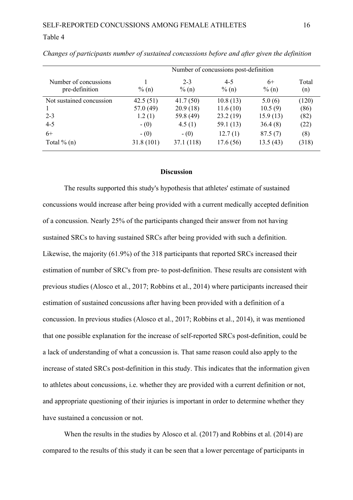#### Table 4

|                                         | Number of concussions post-definition |                     |                     |                  |              |  |
|-----------------------------------------|---------------------------------------|---------------------|---------------------|------------------|--------------|--|
| Number of concussions<br>pre-definition | $\%$ (n)                              | $2 - 3$<br>$\%$ (n) | $4 - 5$<br>$\%$ (n) | $6+$<br>$\%$ (n) | Total<br>(n) |  |
| Not sustained concussion                | 42.5(51)                              | 41.7(50)            | 10.8(13)            | 5.0(6)           | (120)        |  |
|                                         | 57.0(49)                              | 20.9(18)            | 11.6(10)            | 10.5(9)          | (86)         |  |
| $2 - 3$                                 | 1.2(1)                                | 59.8 (49)           | 23.2(19)            | 15.9(13)         | (82)         |  |
| $4 - 5$                                 | $- (0)$                               | 4.5(1)              | 59.1 $(13)$         | 36.4(8)          | (22)         |  |
| $6+$                                    | $- (0)$                               | $- (0)$             | 12.7(1)             | 87.5(7)          | (8)          |  |
| Total $\%$ (n)                          | 31.8(101)                             | 37.1 (118)          | 17.6 (56)           | 13.5(43)         | (318)        |  |

*Changes of participants number of sustained concussions before and after given the definition*

#### **Discussion**

The results supported this study's hypothesis that athletes' estimate of sustained concussions would increase after being provided with a current medically accepted definition of a concussion. Nearly 25% of the participants changed their answer from not having sustained SRCs to having sustained SRCs after being provided with such a definition. Likewise, the majority (61.9%) of the 318 participants that reported SRCs increased their estimation of number of SRC's from pre- to post-definition. These results are consistent with previous studies (Alosco et al., 2017; Robbins et al., 2014) where participants increased their estimation of sustained concussions after having been provided with a definition of a concussion. In previous studies (Alosco et al., 2017; Robbins et al., 2014), it was mentioned that one possible explanation for the increase of self-reported SRCs post-definition, could be a lack of understanding of what a concussion is. That same reason could also apply to the increase of stated SRCs post-definition in this study. This indicates that the information given to athletes about concussions, i.e. whether they are provided with a current definition or not, and appropriate questioning of their injuries is important in order to determine whether they have sustained a concussion or not.

When the results in the studies by Alosco et al. (2017) and Robbins et al. (2014) are compared to the results of this study it can be seen that a lower percentage of participants in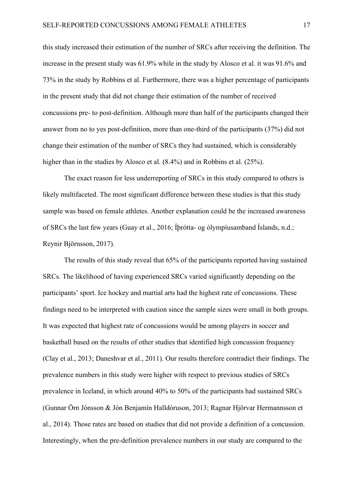this study increased their estimation of the number of SRCs after receiving the definition. The increase in the present study was 61.9% while in the study by Alosco et al. it was 91.6% and 73% in the study by Robbins et al. Furthermore, there was a higher percentage of participants in the present study that did not change their estimation of the number of received concussions pre- to post-definition. Although more than half of the participants changed their answer from no to yes post-definition, more than one-third of the participants (37%) did not change their estimation of the number of SRCs they had sustained, which is considerably higher than in the studies by Alosco et al. (8.4%) and in Robbins et al. (25%).

The exact reason for less underreporting of SRCs in this study compared to others is likely multifaceted. The most significant difference between these studies is that this study sample was based on female athletes. Another explanation could be the increased awareness of SRCs the last few years (Guay et al., 2016; Íþrótta- og ólympíusamband Íslands, n.d.; Reynir Björnsson, 2017).

The results of this study reveal that 65% of the participants reported having sustained SRCs. The likelihood of having experienced SRCs varied significantly depending on the participants' sport. Ice hockey and martial arts had the highest rate of concussions. These findings need to be interpreted with caution since the sample sizes were small in both groups. It was expected that highest rate of concussions would be among players in soccer and basketball based on the results of other studies that identified high concussion frequency (Clay et al., 2013; Daneshvar et al., 2011). Our results therefore contradict their findings. The prevalence numbers in this study were higher with respect to previous studies of SRCs prevalence in Iceland, in which around 40% to 50% of the participants had sustained SRCs (Gunnar Örn Jónsson & Jón Benjamín Halldóruson, 2013; Ragnar Hjörvar Hermannsson et al., 2014). Those rates are based on studies that did not provide a definition of a concussion. Interestingly, when the pre-definition prevalence numbers in our study are compared to the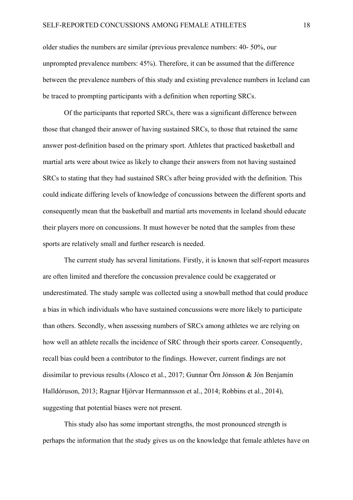older studies the numbers are similar (previous prevalence numbers: 40- 50%, our unprompted prevalence numbers: 45%). Therefore, it can be assumed that the difference between the prevalence numbers of this study and existing prevalence numbers in Iceland can be traced to prompting participants with a definition when reporting SRCs.

Of the participants that reported SRCs, there was a significant difference between those that changed their answer of having sustained SRCs, to those that retained the same answer post-definition based on the primary sport. Athletes that practiced basketball and martial arts were about twice as likely to change their answers from not having sustained SRCs to stating that they had sustained SRCs after being provided with the definition. This could indicate differing levels of knowledge of concussions between the different sports and consequently mean that the basketball and martial arts movements in Iceland should educate their players more on concussions. It must however be noted that the samples from these sports are relatively small and further research is needed.

The current study has several limitations. Firstly, it is known that self-report measures are often limited and therefore the concussion prevalence could be exaggerated or underestimated. The study sample was collected using a snowball method that could produce a bias in which individuals who have sustained concussions were more likely to participate than others. Secondly, when assessing numbers of SRCs among athletes we are relying on how well an athlete recalls the incidence of SRC through their sports career. Consequently, recall bias could been a contributor to the findings. However, current findings are not dissimilar to previous results (Alosco et al., 2017; Gunnar Örn Jónsson & Jón Benjamín Halldóruson, 2013; Ragnar Hjörvar Hermannsson et al., 2014; Robbins et al., 2014), suggesting that potential biases were not present.

This study also has some important strengths, the most pronounced strength is perhaps the information that the study gives us on the knowledge that female athletes have on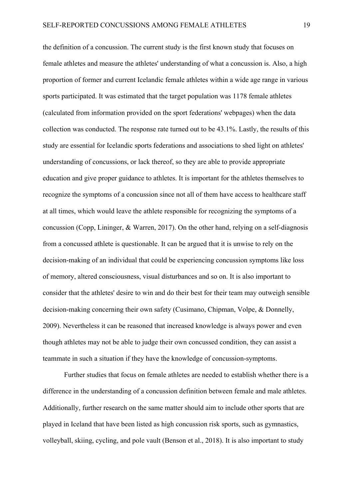the definition of a concussion. The current study is the first known study that focuses on female athletes and measure the athletes' understanding of what a concussion is. Also, a high proportion of former and current Icelandic female athletes within a wide age range in various sports participated. It was estimated that the target population was 1178 female athletes (calculated from information provided on the sport federations' webpages) when the data collection was conducted. The response rate turned out to be 43.1%. Lastly, the results of this study are essential for Icelandic sports federations and associations to shed light on athletes' understanding of concussions, or lack thereof, so they are able to provide appropriate education and give proper guidance to athletes. It is important for the athletes themselves to recognize the symptoms of a concussion since not all of them have access to healthcare staff at all times, which would leave the athlete responsible for recognizing the symptoms of a concussion (Copp, Lininger, & Warren, 2017). On the other hand, relying on a self-diagnosis from a concussed athlete is questionable. It can be argued that it is unwise to rely on the decision-making of an individual that could be experiencing concussion symptoms like loss of memory, altered consciousness, visual disturbances and so on. It is also important to consider that the athletes' desire to win and do their best for their team may outweigh sensible decision-making concerning their own safety (Cusimano, Chipman, Volpe, & Donnelly, 2009). Nevertheless it can be reasoned that increased knowledge is always power and even though athletes may not be able to judge their own concussed condition, they can assist a teammate in such a situation if they have the knowledge of concussion-symptoms.

Further studies that focus on female athletes are needed to establish whether there is a difference in the understanding of a concussion definition between female and male athletes. Additionally, further research on the same matter should aim to include other sports that are played in Iceland that have been listed as high concussion risk sports, such as gymnastics, volleyball, skiing, cycling, and pole vault (Benson et al., 2018). It is also important to study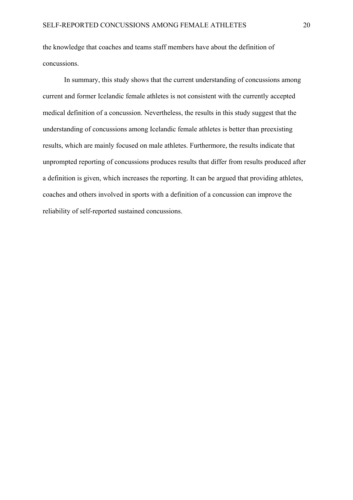the knowledge that coaches and teams staff members have about the definition of concussions.

In summary, this study shows that the current understanding of concussions among current and former Icelandic female athletes is not consistent with the currently accepted medical definition of a concussion. Nevertheless, the results in this study suggest that the understanding of concussions among Icelandic female athletes is better than preexisting results, which are mainly focused on male athletes. Furthermore, the results indicate that unprompted reporting of concussions produces results that differ from results produced after a definition is given, which increases the reporting. It can be argued that providing athletes, coaches and others involved in sports with a definition of a concussion can improve the reliability of self-reported sustained concussions.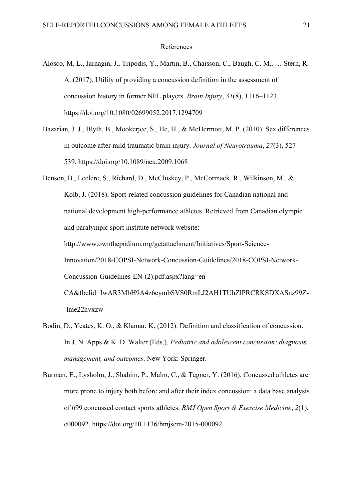#### References

- Alosco, M. L., Jarnagin, J., Tripodis, Y., Martin, B., Chaisson, C., Baugh, C. M., … Stern, R. A. (2017). Utility of providing a concussion definition in the assessment of concussion history in former NFL players. *Brain Injury*, *31*(8), 1116–1123. https://doi.org/10.1080/02699052.2017.1294709
- Bazarian, J. J., Blyth, B., Mookerjee, S., He, H., & McDermott, M. P. (2010). Sex differences in outcome after mild traumatic brain injury. *Journal of Neurotrauma*, *27*(3), 527– 539. https://doi.org/10.1089/neu.2009.1068
- Benson, B., Leclerc, S., Richard, D., McCluskey, P., McCormack, R., Wilkinson, M., & Kolb, J. (2018). Sport-related concussion guidelines for Canadian national and national development high-performance athletes. Retrieved from Canadian olympic and paralympic sport institute network website: http://www.ownthepodium.org/getattachment/Initiatives/Sport-Science-Innovation/2018-COPSI-Network-Concussion-Guidelines/2018-COPSI-Network-Concussion-Guidelines-EN-(2).pdf.aspx?lang=en-CA&fbclid=IwAR3MbH9A4z6cymbSVS0RmLJ2AH1TUhZlPRCRKSDXASnz99Z-

-lme22hvxzw

- Bodin, D., Yeates, K. O., & Klamar, K. (2012). Definition and classification of concussion. In J. N. Apps & K. D. Walter (Eds.), *Pediatric and adolescent concussion: diagnosis, management, and outcomes*. New York: Springer.
- Burman, E., Lysholm, J., Shahim, P., Malm, C., & Tegner, Y. (2016). Concussed athletes are more prone to injury both before and after their index concussion: a data base analysis of 699 concussed contact sports athletes. *BMJ Open Sport & Exercise Medicine*, *2*(1), e000092. https://doi.org/10.1136/bmjsem-2015-000092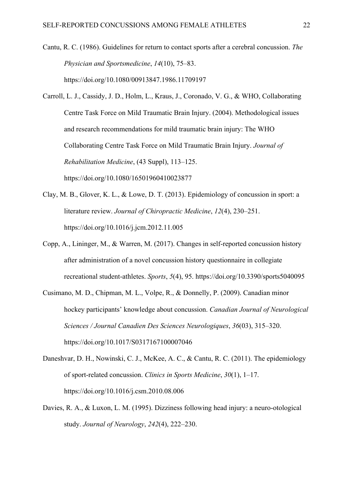- Cantu, R. C. (1986). Guidelines for return to contact sports after a cerebral concussion. *The Physician and Sportsmedicine*, *14*(10), 75–83. https://doi.org/10.1080/00913847.1986.11709197
- Carroll, L. J., Cassidy, J. D., Holm, L., Kraus, J., Coronado, V. G., & WHO, Collaborating Centre Task Force on Mild Traumatic Brain Injury. (2004). Methodological issues and research recommendations for mild traumatic brain injury: The WHO Collaborating Centre Task Force on Mild Traumatic Brain Injury. *Journal of Rehabilitation Medicine*, (43 Suppl), 113–125. https://doi.org/10.1080/16501960410023877
- Clay, M. B., Glover, K. L., & Lowe, D. T. (2013). Epidemiology of concussion in sport: a literature review. *Journal of Chiropractic Medicine*, *12*(4), 230–251. https://doi.org/10.1016/j.jcm.2012.11.005
- Copp, A., Lininger, M., & Warren, M. (2017). Changes in self-reported concussion history after administration of a novel concussion history questionnaire in collegiate recreational student-athletes. *Sports*, *5*(4), 95. https://doi.org/10.3390/sports5040095
- Cusimano, M. D., Chipman, M. L., Volpe, R., & Donnelly, P. (2009). Canadian minor hockey participants' knowledge about concussion. *Canadian Journal of Neurological Sciences / Journal Canadien Des Sciences Neurologiques*, *36*(03), 315–320. https://doi.org/10.1017/S0317167100007046
- Daneshvar, D. H., Nowinski, C. J., McKee, A. C., & Cantu, R. C. (2011). The epidemiology of sport-related concussion. *Clinics in Sports Medicine*, *30*(1), 1–17. https://doi.org/10.1016/j.csm.2010.08.006
- Davies, R. A., & Luxon, L. M. (1995). Dizziness following head injury: a neuro-otological study. *Journal of Neurology*, *242*(4), 222–230.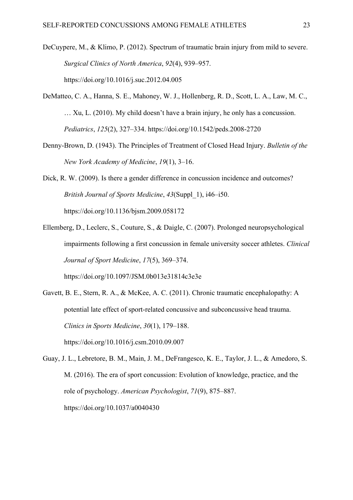DeCuypere, M., & Klimo, P. (2012). Spectrum of traumatic brain injury from mild to severe. *Surgical Clinics of North America*, *92*(4), 939–957. https://doi.org/10.1016/j.suc.2012.04.005

- DeMatteo, C. A., Hanna, S. E., Mahoney, W. J., Hollenberg, R. D., Scott, L. A., Law, M. C., … Xu, L. (2010). My child doesn't have a brain injury, he only has a concussion. *Pediatrics*, *125*(2), 327–334. https://doi.org/10.1542/peds.2008-2720
- Denny-Brown, D. (1943). The Principles of Treatment of Closed Head Injury. *Bulletin of the New York Academy of Medicine*, *19*(1), 3–16.
- Dick, R. W. (2009). Is there a gender difference in concussion incidence and outcomes? *British Journal of Sports Medicine*, *43*(Suppl\_1), i46–i50. https://doi.org/10.1136/bjsm.2009.058172
- Ellemberg, D., Leclerc, S., Couture, S., & Daigle, C. (2007). Prolonged neuropsychological impairments following a first concussion in female university soccer athletes. *Clinical Journal of Sport Medicine*, *17*(5), 369–374. https://doi.org/10.1097/JSM.0b013e31814c3e3e
- Gavett, B. E., Stern, R. A., & McKee, A. C. (2011). Chronic traumatic encephalopathy: A potential late effect of sport-related concussive and subconcussive head trauma. *Clinics in Sports Medicine*, *30*(1), 179–188. https://doi.org/10.1016/j.csm.2010.09.007
- Guay, J. L., Lebretore, B. M., Main, J. M., DeFrangesco, K. E., Taylor, J. L., & Amedoro, S. M. (2016). The era of sport concussion: Evolution of knowledge, practice, and the role of psychology. *American Psychologist*, *71*(9), 875–887. https://doi.org/10.1037/a0040430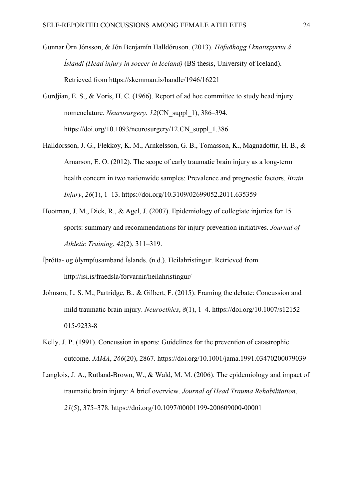- Gunnar Örn Jónsson, & Jón Benjamín Halldóruson. (2013). *Höfuðhögg í knattspyrnu á Íslandi (Head injury in soccer in Iceland)* (BS thesis, University of Iceland). Retrieved from https://skemman.is/handle/1946/16221
- Gurdjian, E. S., & Voris, H. C. (1966). Report of ad hoc committee to study head injury nomenclature. *Neurosurgery*, *12*(CN\_suppl\_1), 386–394. https://doi.org/10.1093/neurosurgery/12.CN\_suppl\_1.386
- Halldorsson, J. G., Flekkoy, K. M., Arnkelsson, G. B., Tomasson, K., Magnadottir, H. B., & Arnarson, E. O. (2012). The scope of early traumatic brain injury as a long-term health concern in two nationwide samples: Prevalence and prognostic factors. *Brain Injury*, *26*(1), 1–13. https://doi.org/10.3109/02699052.2011.635359
- Hootman, J. M., Dick, R., & Agel, J. (2007). Epidemiology of collegiate injuries for 15 sports: summary and recommendations for injury prevention initiatives. *Journal of Athletic Training*, *42*(2), 311–319.
- Íþrótta- og ólympíusamband Íslands. (n.d.). Heilahristingur. Retrieved from http://isi.is/fraedsla/forvarnir/heilahristingur/
- Johnson, L. S. M., Partridge, B., & Gilbert, F. (2015). Framing the debate: Concussion and mild traumatic brain injury. *Neuroethics*, *8*(1), 1–4. https://doi.org/10.1007/s12152- 015-9233-8
- Kelly, J. P. (1991). Concussion in sports: Guidelines for the prevention of catastrophic outcome. *JAMA*, *266*(20), 2867. https://doi.org/10.1001/jama.1991.03470200079039
- Langlois, J. A., Rutland-Brown, W., & Wald, M. M. (2006). The epidemiology and impact of traumatic brain injury: A brief overview. *Journal of Head Trauma Rehabilitation*, *21*(5), 375–378. https://doi.org/10.1097/00001199-200609000-00001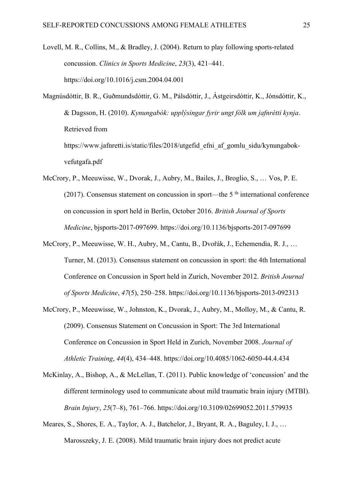- Lovell, M. R., Collins, M., & Bradley, J. (2004). Return to play following sports-related concussion. *Clinics in Sports Medicine*, *23*(3), 421–441. https://doi.org/10.1016/j.csm.2004.04.001
- Magnúsdóttir, B. R., Guðmundsdóttir, G. M., Pálsdóttir, J., Ástgeirsdóttir, K., Jónsdóttir, K., & Dagsson, H. (2010). *Kynungabók: upplýsingar fyrir ungt fólk um jafnrétti kynja*. Retrieved from

https://www.jafnretti.is/static/files/2018/utgefid\_efni\_af\_gomlu\_sidu/kynungabokvefutgafa.pdf

- McCrory, P., Meeuwisse, W., Dvorak, J., Aubry, M., Bailes, J., Broglio, S., … Vos, P. E. (2017). Consensus statement on concussion in sport—the 5<sup>th</sup> international conference on concussion in sport held in Berlin, October 2016. *British Journal of Sports Medicine*, bjsports-2017-097699. https://doi.org/10.1136/bjsports-2017-097699
- McCrory, P., Meeuwisse, W. H., Aubry, M., Cantu, B., Dvořák, J., Echemendia, R. J., … Turner, M. (2013). Consensus statement on concussion in sport: the 4th International Conference on Concussion in Sport held in Zurich, November 2012. *British Journal of Sports Medicine*, *47*(5), 250–258. https://doi.org/10.1136/bjsports-2013-092313
- McCrory, P., Meeuwisse, W., Johnston, K., Dvorak, J., Aubry, M., Molloy, M., & Cantu, R. (2009). Consensus Statement on Concussion in Sport: The 3rd International Conference on Concussion in Sport Held in Zurich, November 2008. *Journal of Athletic Training*, *44*(4), 434–448. https://doi.org/10.4085/1062-6050-44.4.434
- McKinlay, A., Bishop, A., & McLellan, T. (2011). Public knowledge of 'concussion' and the different terminology used to communicate about mild traumatic brain injury (MTBI). *Brain Injury*, *25*(7–8), 761–766. https://doi.org/10.3109/02699052.2011.579935
- Meares, S., Shores, E. A., Taylor, A. J., Batchelor, J., Bryant, R. A., Baguley, I. J., … Marosszeky, J. E. (2008). Mild traumatic brain injury does not predict acute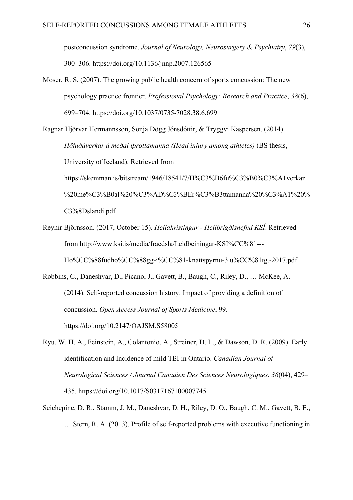postconcussion syndrome. *Journal of Neurology, Neurosurgery & Psychiatry*, *79*(3), 300–306. https://doi.org/10.1136/jnnp.2007.126565

Moser, R. S. (2007). The growing public health concern of sports concussion: The new psychology practice frontier. *Professional Psychology: Research and Practice*, *38*(6), 699–704. https://doi.org/10.1037/0735-7028.38.6.699

Ragnar Hjörvar Hermannsson, Sonja Dögg Jónsdóttir, & Tryggvi Kaspersen. (2014). *Höfuðáverkar á meðal íþróttamanna (Head injury among athletes)* (BS thesis, University of Iceland). Retrieved from https://skemman.is/bitstream/1946/18541/7/H%C3%B6fu%C3%B0%C3%A1verkar %20me%C3%B0al%20%C3%AD%C3%BEr%C3%B3ttamanna%20%C3%A1%20% C3%8Dslandi.pdf

- Reynir Björnsson. (2017, October 15). *Heilahristingur - Heilbrigðisnefnd KSÍ*. Retrieved from http://www.ksi.is/media/fraedsla/Leidbeiningar-KSI%CC%81--- Ho%CC%88fudho%CC%88gg-i%CC%81-knattspyrnu-3.u%CC%81tg.-2017.pdf
- Robbins, C., Daneshvar, D., Picano, J., Gavett, B., Baugh, C., Riley, D., … McKee, A. (2014). Self-reported concussion history: Impact of providing a definition of concussion. *Open Access Journal of Sports Medicine*, 99. https://doi.org/10.2147/OAJSM.S58005
- Ryu, W. H. A., Feinstein, A., Colantonio, A., Streiner, D. L., & Dawson, D. R. (2009). Early identification and Incidence of mild TBI in Ontario. *Canadian Journal of Neurological Sciences / Journal Canadien Des Sciences Neurologiques*, *36*(04), 429– 435. https://doi.org/10.1017/S0317167100007745
- Seichepine, D. R., Stamm, J. M., Daneshvar, D. H., Riley, D. O., Baugh, C. M., Gavett, B. E., … Stern, R. A. (2013). Profile of self-reported problems with executive functioning in